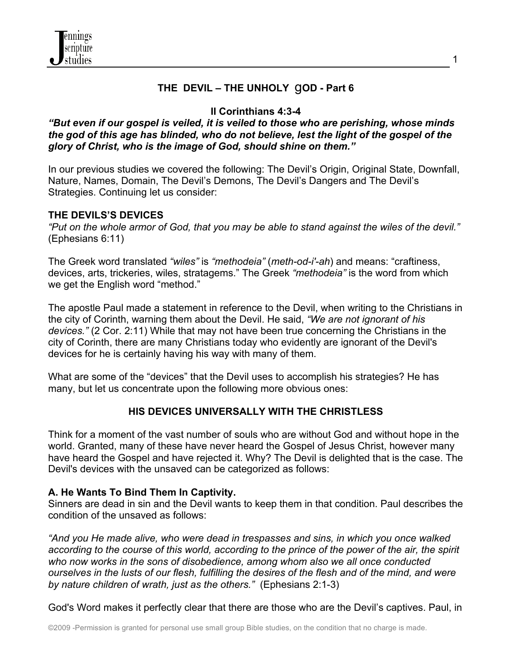

## **THE DEVIL – THE UNHOLY** g**OD - Part 6**

## **II Corinthians 4:3-4**

#### *"But even if our gospel is veiled, it is veiled to those who are perishing, whose minds the god of this age has blinded, who do not believe, lest the light of the gospel of the glory of Christ, who is the image of God, should shine on them."*

In our previous studies we covered the following: The Devil's Origin, Original State, Downfall, Nature, Names, Domain, The Devil's Demons, The Devil's Dangers and The Devil's Strategies. Continuing let us consider:

### **THE DEVILS'S DEVICES**

*"Put on the whole armor of God, that you may be able to stand against the wiles of the devil."* (Ephesians 6:11)

The Greek word translated *"wiles"* is *"methodeia"* (*meth-od-i'-ah*) and means: "craftiness, devices, arts, trickeries, wiles, stratagems." The Greek *"methodeia"* is the word from which we get the English word "method."

The apostle Paul made a statement in reference to the Devil, when writing to the Christians in the city of Corinth, warning them about the Devil. He said, *"We are not ignorant of his devices."* (2 Cor. 2:11) While that may not have been true concerning the Christians in the city of Corinth, there are many Christians today who evidently are ignorant of the Devil's devices for he is certainly having his way with many of them.

What are some of the "devices" that the Devil uses to accomplish his strategies? He has many, but let us concentrate upon the following more obvious ones:

#### **HIS DEVICES UNIVERSALLY WITH THE CHRISTLESS**

Think for a moment of the vast number of souls who are without God and without hope in the world. Granted, many of these have never heard the Gospel of Jesus Christ, however many have heard the Gospel and have rejected it. Why? The Devil is delighted that is the case. The Devil's devices with the unsaved can be categorized as follows:

#### **A. He Wants To Bind Them In Captivity.**

Sinners are dead in sin and the Devil wants to keep them in that condition. Paul describes the condition of the unsaved as follows:

*"And you He made alive, who were dead in trespasses and sins, in which you once walked according to the course of this world, according to the prince of the power of the air, the spirit who now works in the sons of disobedience, among whom also we all once conducted ourselves in the lusts of our flesh, fulfilling the desires of the flesh and of the mind, and were by nature children of wrath, just as the others."* (Ephesians 2:1-3)

God's Word makes it perfectly clear that there are those who are the Devil's captives. Paul, in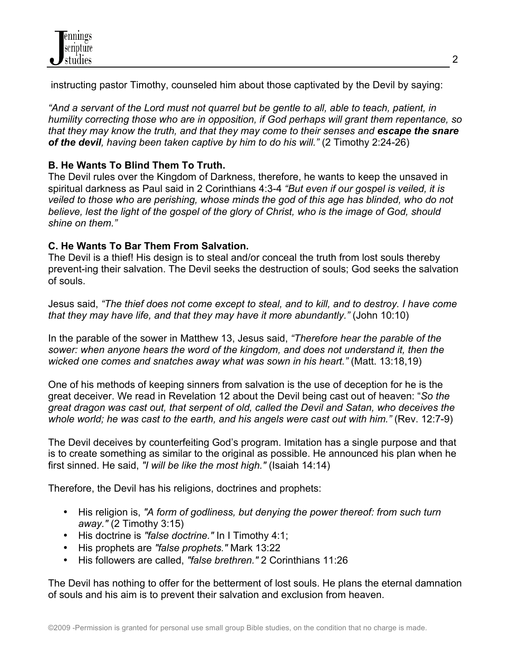instructing pastor Timothy, counseled him about those captivated by the Devil by saying:

*"And a servant of the Lord must not quarrel but be gentle to all, able to teach, patient, in humility correcting those who are in opposition, if God perhaps will grant them repentance, so that they may know the truth, and that they may come to their senses and escape the snare of the devil, having been taken captive by him to do his will."* (2 Timothy 2:24-26)

# **B. He Wants To Blind Them To Truth.**

The Devil rules over the Kingdom of Darkness, therefore, he wants to keep the unsaved in spiritual darkness as Paul said in 2 Corinthians 4:3-4 *"But even if our gospel is veiled, it is veiled to those who are perishing, whose minds the god of this age has blinded, who do not believe, lest the light of the gospel of the glory of Christ, who is the image of God, should shine on them."*

# **C. He Wants To Bar Them From Salvation.**

The Devil is a thief! His design is to steal and/or conceal the truth from lost souls thereby prevent-ing their salvation. The Devil seeks the destruction of souls; God seeks the salvation of souls.

Jesus said, *"The thief does not come except to steal, and to kill, and to destroy. I have come that they may have life, and that they may have it more abundantly."* (John 10:10)

In the parable of the sower in Matthew 13, Jesus said, *"Therefore hear the parable of the sower: when anyone hears the word of the kingdom, and does not understand it, then the wicked one comes and snatches away what was sown in his heart."* (Matt. 13:18,19)

One of his methods of keeping sinners from salvation is the use of deception for he is the great deceiver. We read in Revelation 12 about the Devil being cast out of heaven: "*So the great dragon was cast out, that serpent of old, called the Devil and Satan, who deceives the whole world; he was cast to the earth, and his angels were cast out with him."* (Rev. 12:7-9)

The Devil deceives by counterfeiting God's program. Imitation has a single purpose and that is to create something as similar to the original as possible. He announced his plan when he first sinned. He said, *"I will be like the most high."* (Isaiah 14:14)

Therefore, the Devil has his religions, doctrines and prophets:

- His religion is, *"A form of godliness, but denying the power thereof: from such turn away."* (2 Timothy 3:15)
- His doctrine is *"false doctrine."* In I Timothy 4:1;
- His prophets are *"false prophets."* Mark 13:22
- His followers are called, *"false brethren."* 2 Corinthians 11:26

The Devil has nothing to offer for the betterment of lost souls. He plans the eternal damnation of souls and his aim is to prevent their salvation and exclusion from heaven.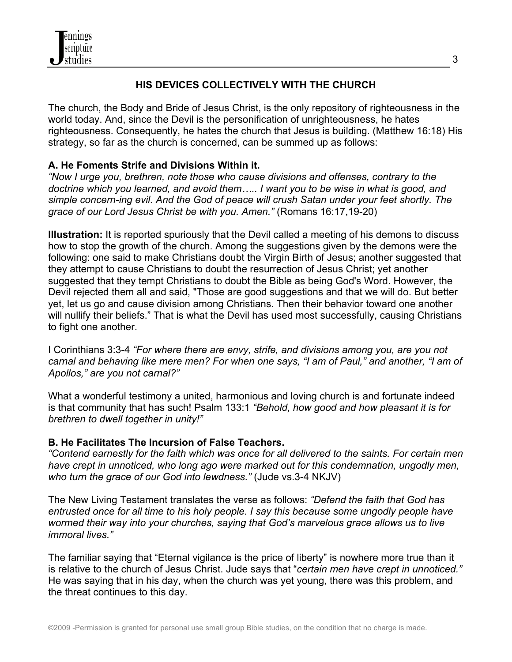

### **HIS DEVICES COLLECTIVELY WITH THE CHURCH**

The church, the Body and Bride of Jesus Christ, is the only repository of righteousness in the world today. And, since the Devil is the personification of unrighteousness, he hates righteousness. Consequently, he hates the church that Jesus is building. (Matthew 16:18) His strategy, so far as the church is concerned, can be summed up as follows:

### **A. He Foments Strife and Divisions Within it.**

*"Now I urge you, brethren, note those who cause divisions and offenses, contrary to the doctrine which you learned, and avoid them….. I want you to be wise in what is good, and simple concern-ing evil. And the God of peace will crush Satan under your feet shortly. The grace of our Lord Jesus Christ be with you. Amen."* (Romans 16:17,19-20)

**Illustration:** It is reported spuriously that the Devil called a meeting of his demons to discuss how to stop the growth of the church. Among the suggestions given by the demons were the following: one said to make Christians doubt the Virgin Birth of Jesus; another suggested that they attempt to cause Christians to doubt the resurrection of Jesus Christ; yet another suggested that they tempt Christians to doubt the Bible as being God's Word. However, the Devil rejected them all and said, "Those are good suggestions and that we will do. But better yet, let us go and cause division among Christians. Then their behavior toward one another will nullify their beliefs." That is what the Devil has used most successfully, causing Christians to fight one another.

I Corinthians 3:3-4 *"For where there are envy, strife, and divisions among you, are you not carnal and behaving like mere men? For when one says, "I am of Paul," and another, "I am of Apollos," are you not carnal?"*

What a wonderful testimony a united, harmonious and loving church is and fortunate indeed is that community that has such! Psalm 133:1 *"Behold, how good and how pleasant it is for brethren to dwell together in unity!"*

### **B. He Facilitates The Incursion of False Teachers.**

*"Contend earnestly for the faith which was once for all delivered to the saints. For certain men have crept in unnoticed, who long ago were marked out for this condemnation, ungodly men, who turn the grace of our God into lewdness."* (Jude vs.3-4 NKJV)

The New Living Testament translates the verse as follows: *"Defend the faith that God has entrusted once for all time to his holy people. I say this because some ungodly people have wormed their way into your churches, saying that God's marvelous grace allows us to live immoral lives."*

The familiar saying that "Eternal vigilance is the price of liberty" is nowhere more true than it is relative to the church of Jesus Christ. Jude says that "*certain men have crept in unnoticed."*  He was saying that in his day, when the church was yet young, there was this problem, and the threat continues to this day.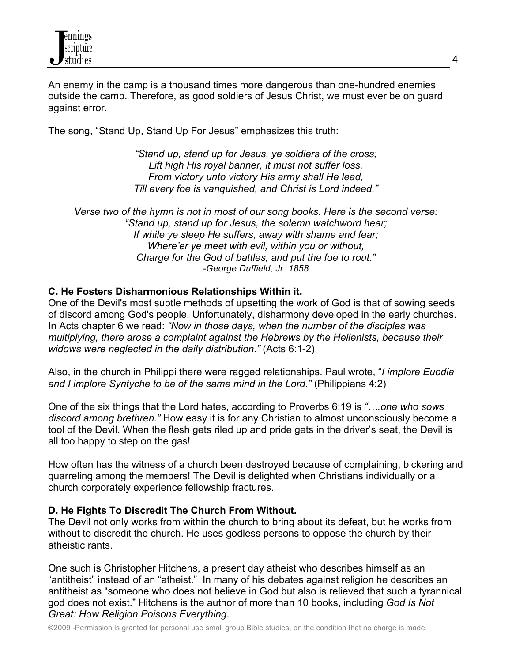An enemy in the camp is a thousand times more dangerous than one-hundred enemies outside the camp. Therefore, as good soldiers of Jesus Christ, we must ever be on guard against error.

The song, "Stand Up, Stand Up For Jesus" emphasizes this truth:

*"Stand up, stand up for Jesus, ye soldiers of the cross; Lift high His royal banner, it must not suffer loss. From victory unto victory His army shall He lead, Till every foe is vanquished, and Christ is Lord indeed."*

*Verse two of the hymn is not in most of our song books. Here is the second verse: "Stand up, stand up for Jesus, the solemn watchword hear; If while ye sleep He suffers, away with shame and fear; Where'er ye meet with evil, within you or without, Charge for the God of battles, and put the foe to rout." -George Duffield, Jr. 1858*

### **C. He Fosters Disharmonious Relationships Within it.**

One of the Devil's most subtle methods of upsetting the work of God is that of sowing seeds of discord among God's people. Unfortunately, disharmony developed in the early churches. In Acts chapter 6 we read: *"Now in those days, when the number of the disciples was multiplying, there arose a complaint against the Hebrews by the Hellenists, because their widows were neglected in the daily distribution."* (Acts 6:1-2)

Also, in the church in Philippi there were ragged relationships. Paul wrote, "*I implore Euodia and I implore Syntyche to be of the same mind in the Lord."* (Philippians 4:2)

One of the six things that the Lord hates, according to Proverbs 6:19 is *"….one who sows discord among brethren."* How easy it is for any Christian to almost unconsciously become a tool of the Devil. When the flesh gets riled up and pride gets in the driver's seat, the Devil is all too happy to step on the gas!

How often has the witness of a church been destroyed because of complaining, bickering and quarreling among the members! The Devil is delighted when Christians individually or a church corporately experience fellowship fractures.

### **D. He Fights To Discredit The Church From Without.**

The Devil not only works from within the church to bring about its defeat, but he works from without to discredit the church. He uses godless persons to oppose the church by their atheistic rants.

One such is Christopher Hitchens, a present day atheist who describes himself as an "antitheist" instead of an "atheist." In many of his debates against religion he describes an antitheist as "someone who does not believe in God but also is relieved that such a tyrannical god does not exist." Hitchens is the author of more than 10 books, including *God Is Not Great: How Religion Poisons Everything*.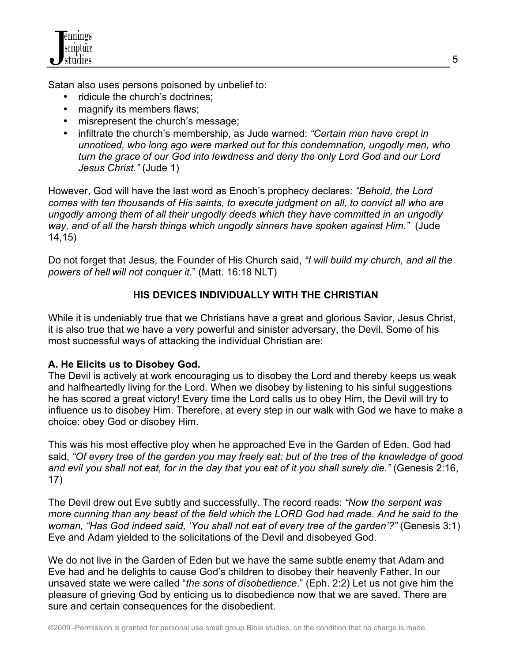Satan also uses persons poisoned by unbelief to:

- ridicule the church's doctrines;
- magnify its members flaws;
- misrepresent the church's message;
- infiltrate the church's membership, as Jude warned: *"Certain men have crept in unnoticed, who long ago were marked out for this condemnation, ungodly men, who turn the grace of our God into lewdness and deny the only Lord God and our Lord Jesus Christ."* (Jude 1)

However, God will have the last word as Enoch's prophecy declares: *"Behold, the Lord comes with ten thousands of His saints, to execute judgment on all, to convict all who are ungodly among them of all their ungodly deeds which they have committed in an ungodly way, and of all the harsh things which ungodly sinners have spoken against Him."* (Jude 14,15)

Do not forget that Jesus, the Founder of His Church said, *"I will build my church, and all the powers of hell will not conquer it*." (Matt. 16:18 NLT)

## **HIS DEVICES INDIVIDUALLY WITH THE CHRISTIAN**

While it is undeniably true that we Christians have a great and glorious Savior, Jesus Christ, it is also true that we have a very powerful and sinister adversary, the Devil. Some of his most successful ways of attacking the individual Christian are:

### **A. He Elicits us to Disobey God.**

The Devil is actively at work encouraging us to disobey the Lord and thereby keeps us weak and halfheartedly living for the Lord. When we disobey by listening to his sinful suggestions he has scored a great victory! Every time the Lord calls us to obey Him, the Devil will try to influence us to disobey Him. Therefore, at every step in our walk with God we have to make a choice: obey God or disobey Him.

This was his most effective ploy when he approached Eve in the Garden of Eden. God had said, *"Of every tree of the garden you may freely eat; but of the tree of the knowledge of good and evil you shall not eat, for in the day that you eat of it you shall surely die."* (Genesis 2:16, 17)

The Devil drew out Eve subtly and successfully. The record reads: *"Now the serpent was more cunning than any beast of the field which the LORD God had made. And he said to the woman, "Has God indeed said, 'You shall not eat of every tree of the garden'?"* (Genesis 3:1) Eve and Adam yielded to the solicitations of the Devil and disobeyed God.

We do not live in the Garden of Eden but we have the same subtle enemy that Adam and Eve had and he delights to cause God's children to disobey their heavenly Father. In our unsaved state we were called "*the sons of disobedience*." (Eph. 2:2) Let us not give him the pleasure of grieving God by enticing us to disobedience now that we are saved. There are sure and certain consequences for the disobedient.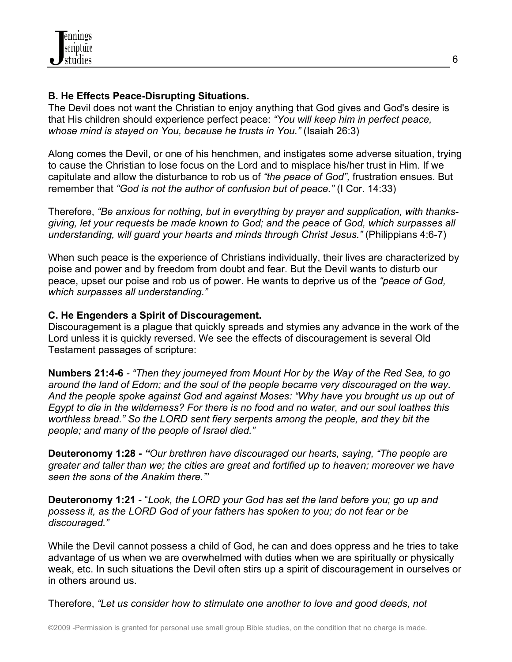### **B. He Effects Peace-Disrupting Situations.**

The Devil does not want the Christian to enjoy anything that God gives and God's desire is that His children should experience perfect peace: *"You will keep him in perfect peace, whose mind is stayed on You, because he trusts in You."* (Isaiah 26:3)

Along comes the Devil, or one of his henchmen, and instigates some adverse situation, trying to cause the Christian to lose focus on the Lord and to misplace his/her trust in Him. If we capitulate and allow the disturbance to rob us of *"the peace of God",* frustration ensues. But remember that *"God is not the author of confusion but of peace."* (I Cor. 14:33)

Therefore, *"Be anxious for nothing, but in everything by prayer and supplication, with thanksgiving, let your requests be made known to God; and the peace of God, which surpasses all understanding, will guard your hearts and minds through Christ Jesus."* (Philippians 4:6-7)

When such peace is the experience of Christians individually, their lives are characterized by poise and power and by freedom from doubt and fear. But the Devil wants to disturb our peace, upset our poise and rob us of power. He wants to deprive us of the *"peace of God, which surpasses all understanding."*

## **C. He Engenders a Spirit of Discouragement.**

Discouragement is a plague that quickly spreads and stymies any advance in the work of the Lord unless it is quickly reversed. We see the effects of discouragement is several Old Testament passages of scripture:

**Numbers 21:4-6** *- "Then they journeyed from Mount Hor by the Way of the Red Sea, to go around the land of Edom; and the soul of the people became very discouraged on the way. And the people spoke against God and against Moses: "Why have you brought us up out of Egypt to die in the wilderness? For there is no food and no water, and our soul loathes this worthless bread." So the LORD sent fiery serpents among the people, and they bit the people; and many of the people of Israel died."*

**Deuteronomy 1:28 -** *"Our brethren have discouraged our hearts, saying, "The people are greater and taller than we; the cities are great and fortified up to heaven; moreover we have seen the sons of the Anakim there."'*

**Deuteronomy 1:21** - "*Look, the LORD your God has set the land before you; go up and possess it, as the LORD God of your fathers has spoken to you; do not fear or be discouraged."*

While the Devil cannot possess a child of God, he can and does oppress and he tries to take advantage of us when we are overwhelmed with duties when we are spiritually or physically weak, etc. In such situations the Devil often stirs up a spirit of discouragement in ourselves or in others around us.

Therefore, *"Let us consider how to stimulate one another to love and good deeds, not*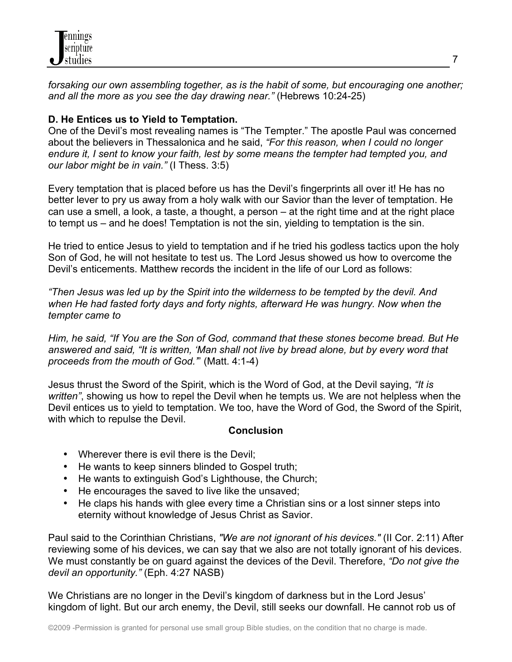*forsaking our own assembling together, as is the habit of some, but encouraging one another; and all the more as you see the day drawing near."* (Hebrews 10:24-25)

## **D. He Entices us to Yield to Temptation.**

One of the Devil's most revealing names is "The Tempter." The apostle Paul was concerned about the believers in Thessalonica and he said, *"For this reason, when I could no longer endure it, I sent to know your faith, lest by some means the tempter had tempted you, and our labor might be in vain."* (I Thess. 3:5)

Every temptation that is placed before us has the Devil's fingerprints all over it! He has no better lever to pry us away from a holy walk with our Savior than the lever of temptation. He can use a smell, a look, a taste, a thought, a person – at the right time and at the right place to tempt us – and he does! Temptation is not the sin, yielding to temptation is the sin.

He tried to entice Jesus to yield to temptation and if he tried his godless tactics upon the holy Son of God, he will not hesitate to test us. The Lord Jesus showed us how to overcome the Devil's enticements. Matthew records the incident in the life of our Lord as follows:

*"Then Jesus was led up by the Spirit into the wilderness to be tempted by the devil. And when He had fasted forty days and forty nights, afterward He was hungry. Now when the tempter came to*

*Him, he said, "If You are the Son of God, command that these stones become bread. But He answered and said, "It is written, 'Man shall not live by bread alone, but by every word that proceeds from the mouth of God.'*" (Matt. 4:1-4)

Jesus thrust the Sword of the Spirit, which is the Word of God, at the Devil saying, *"It is written"*, showing us how to repel the Devil when he tempts us. We are not helpless when the Devil entices us to yield to temptation. We too, have the Word of God, the Sword of the Spirit, with which to repulse the Devil.

#### **Conclusion**

- Wherever there is evil there is the Devil;
- He wants to keep sinners blinded to Gospel truth;
- He wants to extinguish God's Lighthouse, the Church;
- He encourages the saved to live like the unsaved;
- He claps his hands with glee every time a Christian sins or a lost sinner steps into eternity without knowledge of Jesus Christ as Savior.

Paul said to the Corinthian Christians, *"We are not ignorant of his devices."* (II Cor. 2:11) After reviewing some of his devices, we can say that we also are not totally ignorant of his devices. We must constantly be on guard against the devices of the Devil. Therefore, *"Do not give the devil an opportunity."* (Eph. 4:27 NASB)

We Christians are no longer in the Devil's kingdom of darkness but in the Lord Jesus' kingdom of light. But our arch enemy, the Devil, still seeks our downfall. He cannot rob us of